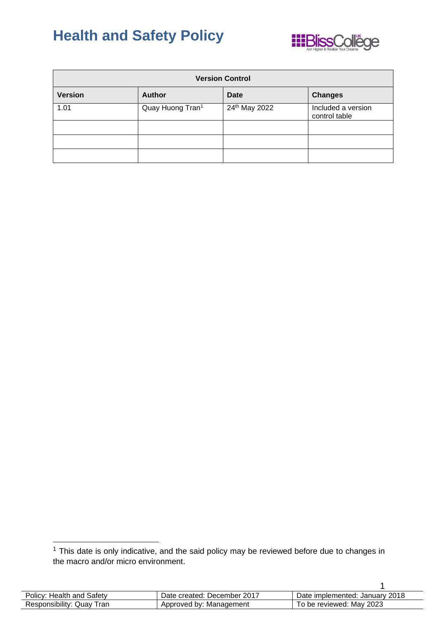

| <b>Version Control</b> |                              |               |                                     |
|------------------------|------------------------------|---------------|-------------------------------------|
| <b>Version</b>         | <b>Author</b>                | <b>Date</b>   | <b>Changes</b>                      |
| 1.01                   | Quay Huong Tran <sup>1</sup> | 24th May 2022 | Included a version<br>control table |
|                        |                              |               |                                     |
|                        |                              |               |                                     |
|                        |                              |               |                                     |

 $1$  This date is only indicative, and the said policy may be reviewed before due to changes in the macro and/or micro environment.

| Policy: Health and Safety | Date created: December 2017 | Date implemented: January 2018 |
|---------------------------|-----------------------------|--------------------------------|
| Responsibility: Quay Tran | Approved by: Management     | To be reviewed: May 2023       |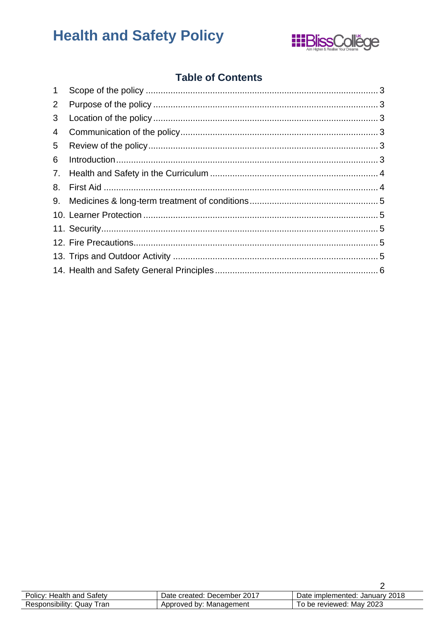

### **Table of Contents**

| $2^{\circ}$    |  |
|----------------|--|
| 3 <sup>1</sup> |  |
| 4              |  |
| 5              |  |
| 6              |  |
|                |  |
| 8.             |  |
|                |  |
|                |  |
|                |  |
|                |  |
|                |  |
|                |  |

| Policy: Health and Safety | Date created: December 2017 | Date implemented: January 2018 |
|---------------------------|-----------------------------|--------------------------------|
| Responsibility: Quay Tran | Approved by: Management     | To be reviewed: May 2023       |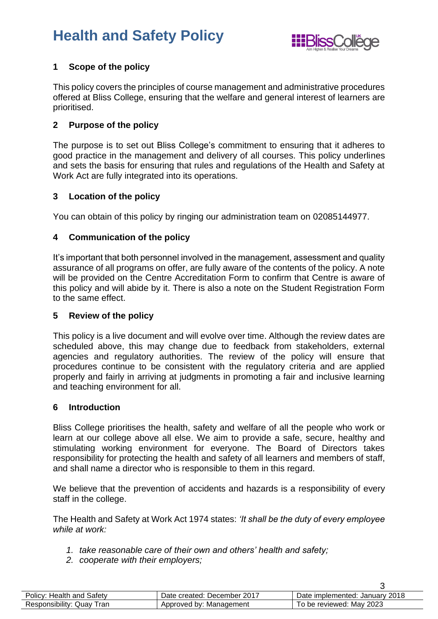

 $\mathbf{\hat{z}}$ 

#### <span id="page-2-0"></span>**1 Scope of the policy**

This policy covers the principles of course management and administrative procedures offered at Bliss College, ensuring that the welfare and general interest of learners are prioritised.

#### <span id="page-2-1"></span>**2 Purpose of the policy**

The purpose is to set out Bliss College's commitment to ensuring that it adheres to good practice in the management and delivery of all courses. This policy underlines and sets the basis for ensuring that rules and regulations of the Health and Safety at Work Act are fully integrated into its operations.

#### <span id="page-2-2"></span>**3 Location of the policy**

You can obtain of this policy by ringing our administration team on 02085144977.

#### <span id="page-2-3"></span>**4 Communication of the policy**

It's important that both personnel involved in the management, assessment and quality assurance of all programs on offer, are fully aware of the contents of the policy. A note will be provided on the Centre Accreditation Form to confirm that Centre is aware of this policy and will abide by it. There is also a note on the Student Registration Form to the same effect.

#### <span id="page-2-4"></span>**5 Review of the policy**

This policy is a live document and will evolve over time. Although the review dates are scheduled above, this may change due to feedback from stakeholders, external agencies and regulatory authorities. The review of the policy will ensure that procedures continue to be consistent with the regulatory criteria and are applied properly and fairly in arriving at judgments in promoting a fair and inclusive learning and teaching environment for all.

#### <span id="page-2-5"></span>**6 Introduction**

Bliss College prioritises the health, safety and welfare of all the people who work or learn at our college above all else. We aim to provide a safe, secure, healthy and stimulating working environment for everyone. The Board of Directors takes responsibility for protecting the health and safety of all learners and members of staff, and shall name a director who is responsible to them in this regard.

We believe that the prevention of accidents and hazards is a responsibility of every staff in the college.

The Health and Safety at Work Act 1974 states: *'It shall be the duty of every employee while at work:*

- *1. take reasonable care of their own and others' health and safety;*
- *2. cooperate with their employers;*

| Policy:<br>Safety<br>Health and | 2017<br>)ate<br>December<br>created:        | 2018<br>Januarv<br>implemented:<br>'Jate |
|---------------------------------|---------------------------------------------|------------------------------------------|
| ran<br>Responsibility.<br>Quav  | nnr<br>oroved<br>Management<br>bv.<br>ADDI' | 2023<br>Mav<br>reviewed:<br>ne.          |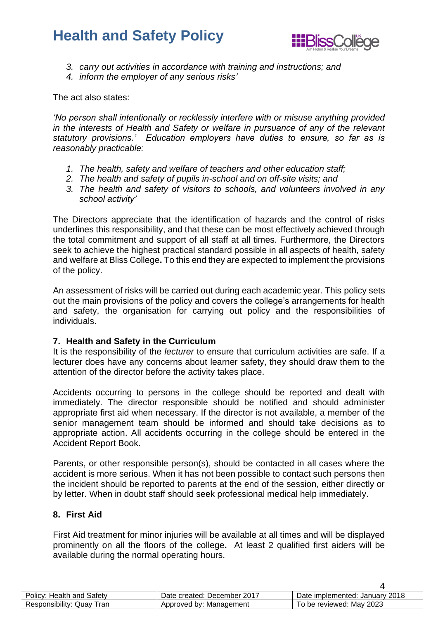

- *3. carry out activities in accordance with training and instructions; and*
- *4. inform the employer of any serious risks'*

The act also states:

*'No person shall intentionally or recklessly interfere with or misuse anything provided in the interests of Health and Safety or welfare in pursuance of any of the relevant statutory provisions.' Education employers have duties to ensure, so far as is reasonably practicable:*

- *1. The health, safety and welfare of teachers and other education staff;*
- *2. The health and safety of pupils in-school and on off-site visits; and*
- *3. The health and safety of visitors to schools, and volunteers involved in any school activity'*

The Directors appreciate that the identification of hazards and the control of risks underlines this responsibility, and that these can be most effectively achieved through the total commitment and support of all staff at all times. Furthermore, the Directors seek to achieve the highest practical standard possible in all aspects of health, safety and welfare at Bliss College**.** To this end they are expected to implement the provisions of the policy.

An assessment of risks will be carried out during each academic year. This policy sets out the main provisions of the policy and covers the college's arrangements for health and safety, the organisation for carrying out policy and the responsibilities of individuals.

#### <span id="page-3-0"></span>**7. Health and Safety in the Curriculum**

It is the responsibility of the *lecturer* to ensure that curriculum activities are safe. If a lecturer does have any concerns about learner safety, they should draw them to the attention of the director before the activity takes place.

Accidents occurring to persons in the college should be reported and dealt with immediately. The director responsible should be notified and should administer appropriate first aid when necessary. If the director is not available, a member of the senior management team should be informed and should take decisions as to appropriate action. All accidents occurring in the college should be entered in the Accident Report Book.

Parents, or other responsible person(s), should be contacted in all cases where the accident is more serious. When it has not been possible to contact such persons then the incident should be reported to parents at the end of the session, either directly or by letter. When in doubt staff should seek professional medical help immediately.

#### <span id="page-3-1"></span>**8. First Aid**

First Aid treatment for minor injuries will be available at all times and will be displayed prominently on all the floors of the college**.** At least 2 qualified first aiders will be available during the normal operating hours.

| Policy: Health and Safety | Date created: December 2017 | Date implemented: January 2018 |
|---------------------------|-----------------------------|--------------------------------|
| Responsibility: Quay Tran | Approved by: Management     | To be reviewed: May 2023       |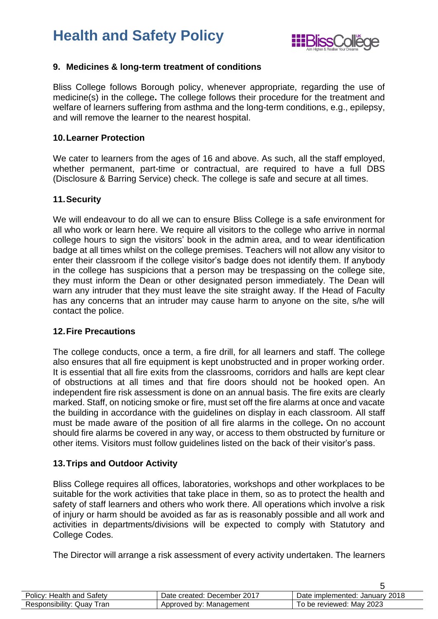

#### <span id="page-4-0"></span>**9. Medicines & long-term treatment of conditions**

Bliss College follows Borough policy, whenever appropriate, regarding the use of medicine(s) in the college**.** The college follows their procedure for the treatment and welfare of learners suffering from asthma and the long-term conditions, e.g., epilepsy, and will remove the learner to the nearest hospital.

#### <span id="page-4-1"></span>**10.Learner Protection**

We cater to learners from the ages of 16 and above. As such, all the staff employed, whether permanent, part-time or contractual, are required to have a full DBS (Disclosure & Barring Service) check. The college is safe and secure at all times.

#### <span id="page-4-2"></span>**11.Security**

We will endeavour to do all we can to ensure Bliss College is a safe environment for all who work or learn here. We require all visitors to the college who arrive in normal college hours to sign the visitors' book in the admin area, and to wear identification badge at all times whilst on the college premises. Teachers will not allow any visitor to enter their classroom if the college visitor's badge does not identify them. If anybody in the college has suspicions that a person may be trespassing on the college site, they must inform the Dean or other designated person immediately. The Dean will warn any intruder that they must leave the site straight away. If the Head of Faculty has any concerns that an intruder may cause harm to anyone on the site, s/he will contact the police.

#### <span id="page-4-3"></span>**12.Fire Precautions**

The college conducts, once a term, a fire drill, for all learners and staff. The college also ensures that all fire equipment is kept unobstructed and in proper working order. It is essential that all fire exits from the classrooms, corridors and halls are kept clear of obstructions at all times and that fire doors should not be hooked open. An independent fire risk assessment is done on an annual basis. The fire exits are clearly marked. Staff, on noticing smoke or fire, must set off the fire alarms at once and vacate the building in accordance with the guidelines on display in each classroom. All staff must be made aware of the position of all fire alarms in the college**.** On no account should fire alarms be covered in any way, or access to them obstructed by furniture or other items. Visitors must follow guidelines listed on the back of their visitor's pass.

#### <span id="page-4-4"></span>**13.Trips and Outdoor Activity**

Bliss College requires all offices, laboratories, workshops and other workplaces to be suitable for the work activities that take place in them, so as to protect the health and safety of staff learners and others who work there. All operations which involve a risk of injury or harm should be avoided as far as is reasonably possible and all work and activities in departments/divisions will be expected to comply with Statutory and College Codes.

The Director will arrange a risk assessment of every activity undertaken. The learners

| Policy: Health and Safety | Date created: December 2017 | Date implemented: January 2018 |
|---------------------------|-----------------------------|--------------------------------|
| Responsibility: Quay Tran | Approved by: Management     | To be reviewed: May 2023       |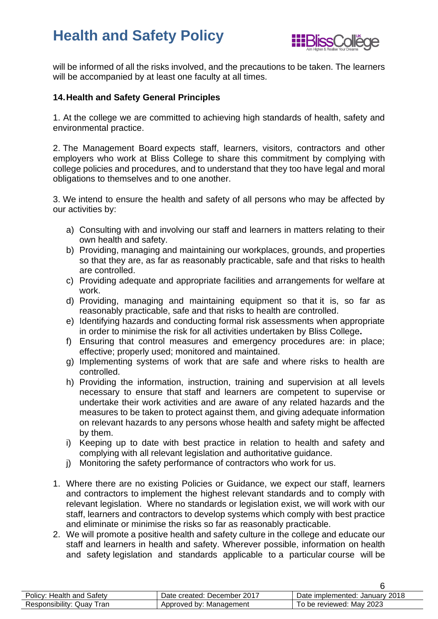

6

will be informed of all the risks involved, and the precautions to be taken. The learners will be accompanied by at least one faculty at all times.

#### <span id="page-5-0"></span>**14.Health and Safety General Principles**

1. At the college we are committed to achieving high standards of health, safety and environmental practice.

2. The Management Board expects staff, learners, visitors, contractors and other employers who work at Bliss College to share this commitment by complying with college policies and procedures, and to understand that they too have legal and moral obligations to themselves and to one another.

3. We intend to ensure the health and safety of all persons who may be affected by our activities by:

- a) Consulting with and involving our staff and learners in matters relating to their own health and safety.
- b) Providing, managing and maintaining our workplaces, grounds, and properties so that they are, as far as reasonably practicable, safe and that risks to health are controlled.
- c) Providing adequate and appropriate facilities and arrangements for welfare at work.
- d) Providing, managing and maintaining equipment so that it is, so far as reasonably practicable, safe and that risks to health are controlled.
- e) Identifying hazards and conducting formal risk assessments when appropriate in order to minimise the risk for all activities undertaken by Bliss College**.**
- f) Ensuring that control measures and emergency procedures are: in place; effective; properly used; monitored and maintained.
- g) Implementing systems of work that are safe and where risks to health are controlled.
- h) Providing the information, instruction, training and supervision at all levels necessary to ensure that staff and learners are competent to supervise or undertake their work activities and are aware of any related hazards and the measures to be taken to protect against them, and giving adequate information on relevant hazards to any persons whose health and safety might be affected by them.
- i) Keeping up to date with best practice in relation to health and safety and complying with all relevant legislation and authoritative guidance.
- j) Monitoring the safety performance of contractors who work for us.
- 1. Where there are no existing Policies or Guidance, we expect our staff, learners and contractors to implement the highest relevant standards and to comply with relevant legislation. Where no standards or legislation exist, we will work with our staff, learners and contractors to develop systems which comply with best practice and eliminate or minimise the risks so far as reasonably practicable.
- 2. We will promote a positive health and safety culture in the college and educate our staff and learners in health and safety. Wherever possible, information on health and safety legislation and standards applicable to a particular course will be

| Policv:<br>: Health and Safetv | -2017<br>created: December<br>⊃ate | 2018<br>Date implemented:<br>∴ Januarv ′ |
|--------------------------------|------------------------------------|------------------------------------------|
| Responsibility:<br>ran<br>Juav | Management<br>Approved<br>. bv:    | Mav 2023<br>reviewed:<br>To be           |